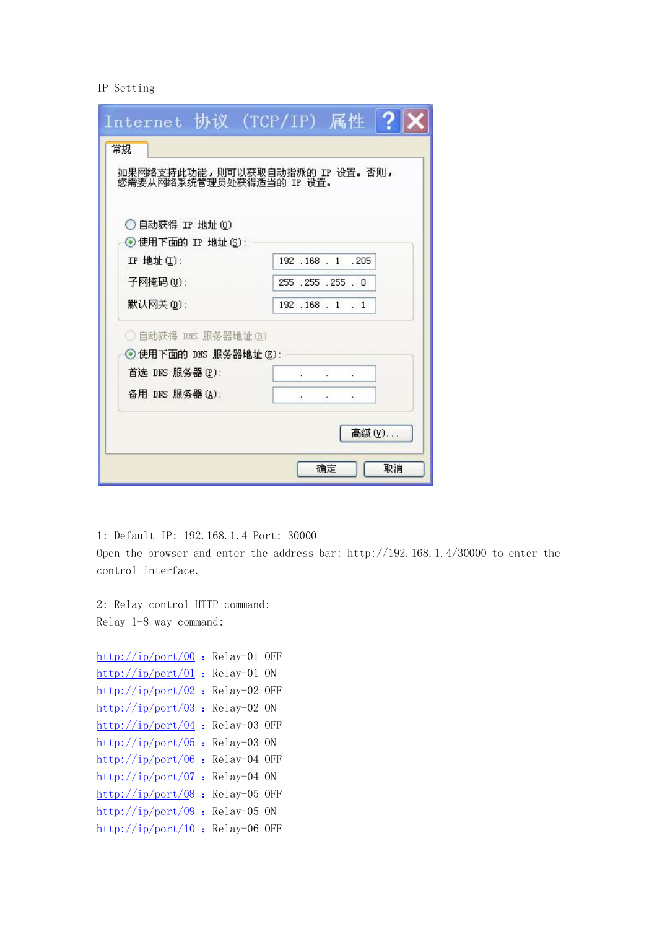## IP Setting

| Internet 协议 (TCP/IP) 属性  ?                                 |                     |
|------------------------------------------------------------|---------------------|
| 常规                                                         |                     |
| 如果网络支持此功能,则可以获取自动指派的 IP 设置。否则,<br>您需要从网络系统管理员处获得适当的 IP 设置。 |                     |
|                                                            |                     |
|                                                            |                     |
| ◯ 自动获得 IP 地址 (0)<br>◉便用下面的 IP 地址(S):                       |                     |
| IP 地址(I):                                                  | 192 . 168 . 1 . 205 |
| 子网掩码(U):                                                   | 255 .255 .255 .0    |
|                                                            |                     |
| 默认网关(D):                                                   | 192.168.1.1         |
| ◯ 自动获得 DNS 服务器地址(B)                                        |                     |
| ◉ 使用下面的 DNS 服务器地址(M):                                      |                     |
| 首选 DNS 服务器(P):                                             |                     |
| 备用 DNS 服务器(A):                                             |                     |
|                                                            |                     |
|                                                            | 高级(V)               |
|                                                            |                     |

1: Default IP: 192.168.1.4 Port: 30000

Open the browser and enter the address bar: http://192.168.1.4/30000 to enter the control interface.

2: Relay control HTTP command: Relay 1-8 way command:

```
http://ip/port/00 : Relay-01 OFF
http://ip/port/01 : Relay-01 ON
http://ip/port/02 : Relay-02 OFF
\frac{\text{http://ip/port}/03}{\text{http://ip/port}/03} : Relay-02 ON
\frac{\text{http://ip/port}/04}{\text{http://ip/port}/04}: Relay-03 OFF
http://ip/port/05 : Relay-03 ON
http://ip/port/06 : Relay-04 OFF
http://ip/port/07}}{\text{http://ip/port/07}}: Relay-04 ON
http://ip/port/08}}{\text{http://ip/port/08}}: Relay-05 OFF
http://ip/port/09 : Relay-05 ON
http://ip/port/10 : Relay-06 OFF
```